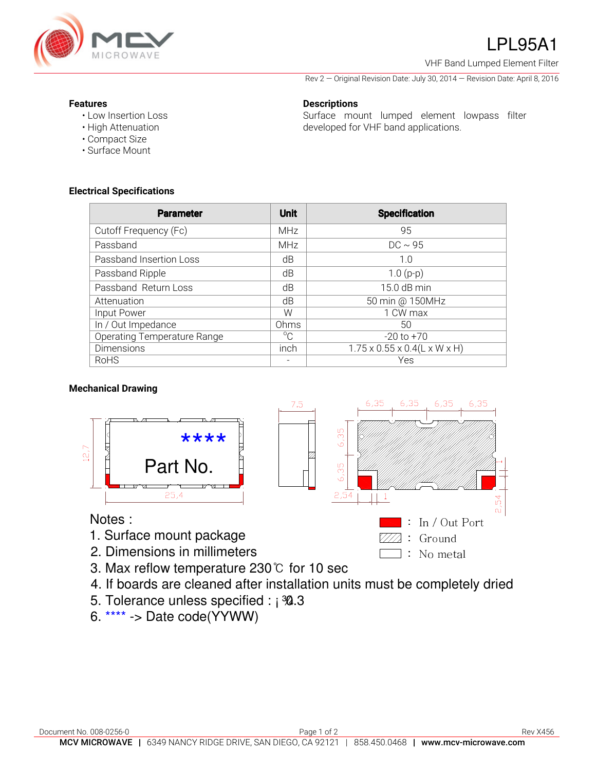

# LPL95A1

VHF Band Lumped Element Filter

Rev 2 — Original Revision Date: July 30, 2014 — Revision Date: April 8, 2016

### **Features**

- Low Insertion Loss
- High Attenuation
- Compact Size
- Surface Mount

**Electrical Specifications** 

### **Descriptions**  Surface mount lumped element lowpass filter developed for VHF band applications.

| <b>Parameter</b>                   | <b>Unit</b> | <b>Specification</b>                               |
|------------------------------------|-------------|----------------------------------------------------|
| Cutoff Frequency (Fc)              | <b>MHz</b>  | 95                                                 |
| Passband                           | <b>MHz</b>  | $DC \sim 95$                                       |
| Passband Insertion Loss            | dB          | 1.0                                                |
| Passband Ripple                    | dB          | $1.0(p-p)$                                         |
| Passband Return Loss               | dB          | 15.0 dB min                                        |
| Attenuation                        | dB          | 50 min @ 150MHz                                    |
| Input Power                        | W           | 1 CW max                                           |
| In / Out Impedance                 | Ohms        | 50                                                 |
| <b>Operating Temperature Range</b> | $^{\circ}C$ | $-20$ to $+70$                                     |
| <b>Dimensions</b>                  | inch        | $1.75 \times 0.55 \times 0.4(L \times W \times H)$ |
| RoHS                               |             | Yes                                                |

## **Mechanical Drawing**



- 1. Surface mount package
- 2. Dimensions in millimeters
- 3. Max reflow temperature 230℃ for 10 sec
- 4. If boards are cleaned after installation units must be completely dried
- 5. Tolerance unless specified : ¡ 30.3
- 6. \*\*\*\* -> Date code(YYWW)



 $\Box$ : No metal